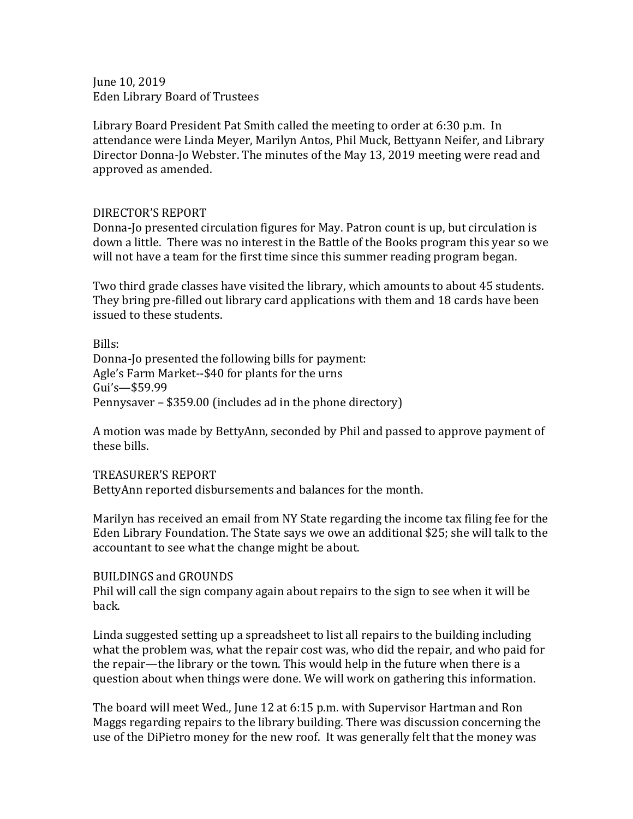June 10, 2019 Eden Library Board of Trustees

Library Board President Pat Smith called the meeting to order at 6:30 p.m. In attendance were Linda Meyer, Marilyn Antos, Phil Muck, Bettyann Neifer, and Library Director Donna-Jo Webster. The minutes of the May 13, 2019 meeting were read and approved as amended.

## DIRECTOR'S REPORT

Donna-Jo presented circulation figures for May. Patron count is up, but circulation is down a little. There was no interest in the Battle of the Books program this year so we will not have a team for the first time since this summer reading program began.

Two third grade classes have visited the library, which amounts to about 45 students. They bring pre-filled out library card applications with them and 18 cards have been issued to these students.

Bills: Donna-Jo presented the following bills for payment: Agle's Farm Market--\$40 for plants for the urns Gui's—\$59.99 Pennysaver – \$359.00 (includes ad in the phone directory)

A motion was made by BettyAnn, seconded by Phil and passed to approve payment of these bills.

## TREASURER'S REPORT

BettyAnn reported disbursements and balances for the month.

Marilyn has received an email from NY State regarding the income tax filing fee for the Eden Library Foundation. The State says we owe an additional \$25; she will talk to the accountant to see what the change might be about.

## BUILDINGS and GROUNDS

Phil will call the sign company again about repairs to the sign to see when it will be back.

Linda suggested setting up a spreadsheet to list all repairs to the building including what the problem was, what the repair cost was, who did the repair, and who paid for the repair—the library or the town. This would help in the future when there is a question about when things were done. We will work on gathering this information.

The board will meet Wed., June 12 at 6:15 p.m. with Supervisor Hartman and Ron Maggs regarding repairs to the library building. There was discussion concerning the use of the DiPietro money for the new roof. It was generally felt that the money was